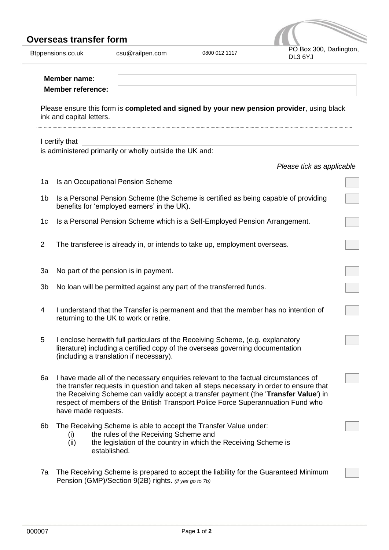## **Overseas transfer form**

Btppensions.co.uk csu@railpen.com 0800 012 1117

| PO Box 300, Darlington,<br>DL3 6YJ |
|------------------------------------|

|                | Member name:<br><b>Member reference:</b>                                                                                                                                                                                                                                                                                                                                          |                           |
|----------------|-----------------------------------------------------------------------------------------------------------------------------------------------------------------------------------------------------------------------------------------------------------------------------------------------------------------------------------------------------------------------------------|---------------------------|
|                | Please ensure this form is completed and signed by your new pension provider, using black<br>ink and capital letters.                                                                                                                                                                                                                                                             |                           |
|                | I certify that<br>is administered primarily or wholly outside the UK and:                                                                                                                                                                                                                                                                                                         |                           |
|                |                                                                                                                                                                                                                                                                                                                                                                                   | Please tick as applicable |
| 1a             | Is an Occupational Pension Scheme                                                                                                                                                                                                                                                                                                                                                 |                           |
| 1 <sub>b</sub> | Is a Personal Pension Scheme (the Scheme is certified as being capable of providing<br>benefits for 'employed earners' in the UK).                                                                                                                                                                                                                                                |                           |
| 1c             | Is a Personal Pension Scheme which is a Self-Employed Pension Arrangement.                                                                                                                                                                                                                                                                                                        |                           |
| $\overline{2}$ | The transferee is already in, or intends to take up, employment overseas.                                                                                                                                                                                                                                                                                                         |                           |
| 3a             | No part of the pension is in payment.                                                                                                                                                                                                                                                                                                                                             |                           |
| 3b             | No loan will be permitted against any part of the transferred funds.                                                                                                                                                                                                                                                                                                              |                           |
| 4              | I understand that the Transfer is permanent and that the member has no intention of<br>returning to the UK to work or retire.                                                                                                                                                                                                                                                     |                           |
| 5              | I enclose herewith full particulars of the Receiving Scheme, (e.g. explanatory<br>literature) including a certified copy of the overseas governing documentation<br>(including a translation if necessary).                                                                                                                                                                       |                           |
| 6a             | I have made all of the necessary enquiries relevant to the factual circumstances of<br>the transfer requests in question and taken all steps necessary in order to ensure that<br>the Receiving Scheme can validly accept a transfer payment (the 'Transfer Value') in<br>respect of members of the British Transport Police Force Superannuation Fund who<br>have made requests. |                           |
| 6b             | The Receiving Scheme is able to accept the Transfer Value under:<br>the rules of the Receiving Scheme and<br>(i)<br>the legislation of the country in which the Receiving Scheme is<br>(ii)<br>established.                                                                                                                                                                       |                           |
| 7a             | The Receiving Scheme is prepared to accept the liability for the Guaranteed Minimum<br>Pension (GMP)/Section 9(2B) rights. (if yes go to 7b)                                                                                                                                                                                                                                      |                           |